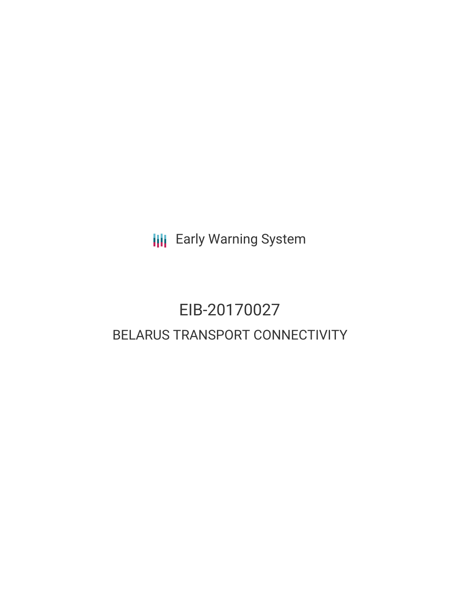**III** Early Warning System

# EIB-20170027 BELARUS TRANSPORT CONNECTIVITY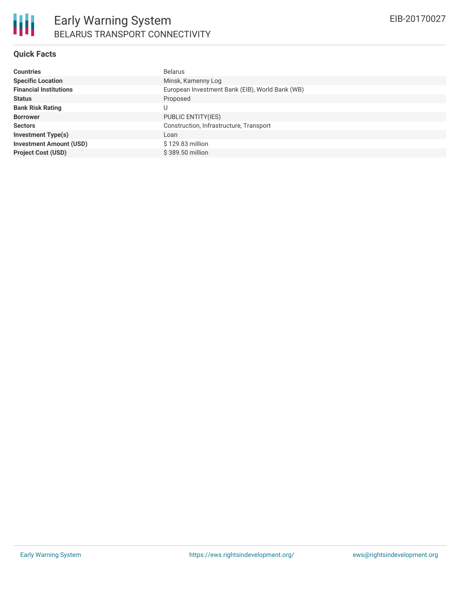### **Quick Facts**

| <b>Countries</b>               | <b>Belarus</b>                                  |
|--------------------------------|-------------------------------------------------|
| <b>Specific Location</b>       | Minsk, Kamenny Log                              |
| <b>Financial Institutions</b>  | European Investment Bank (EIB), World Bank (WB) |
| <b>Status</b>                  | Proposed                                        |
| <b>Bank Risk Rating</b>        | U                                               |
| <b>Borrower</b>                | PUBLIC ENTITY(IES)                              |
| <b>Sectors</b>                 | Construction, Infrastructure, Transport         |
| <b>Investment Type(s)</b>      | Loan                                            |
| <b>Investment Amount (USD)</b> | \$129.83 million                                |
| <b>Project Cost (USD)</b>      | \$389.50 million                                |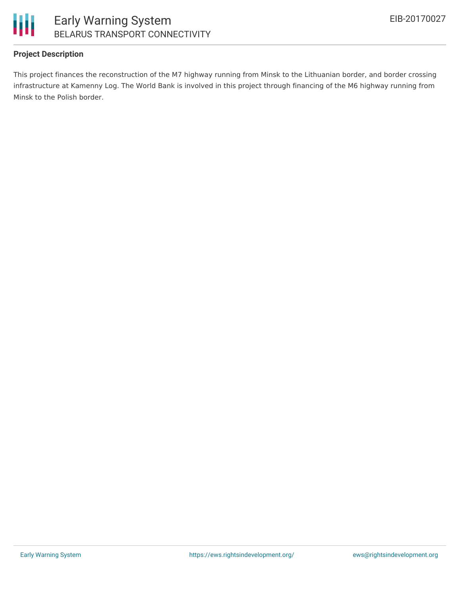

### Early Warning System BELARUS TRANSPORT CONNECTIVITY

### **Project Description**

This project finances the reconstruction of the M7 highway running from Minsk to the Lithuanian border, and border crossing infrastructure at Kamenny Log. The World Bank is involved in this project through financing of the M6 highway running from Minsk to the Polish border.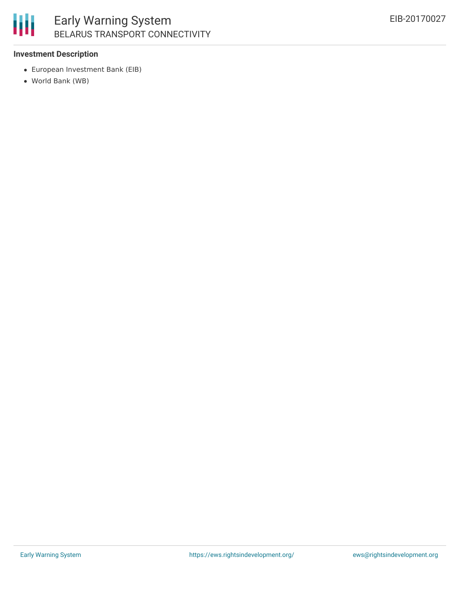

## Early Warning System BELARUS TRANSPORT CONNECTIVITY

### **Investment Description**

- European Investment Bank (EIB)
- World Bank (WB)